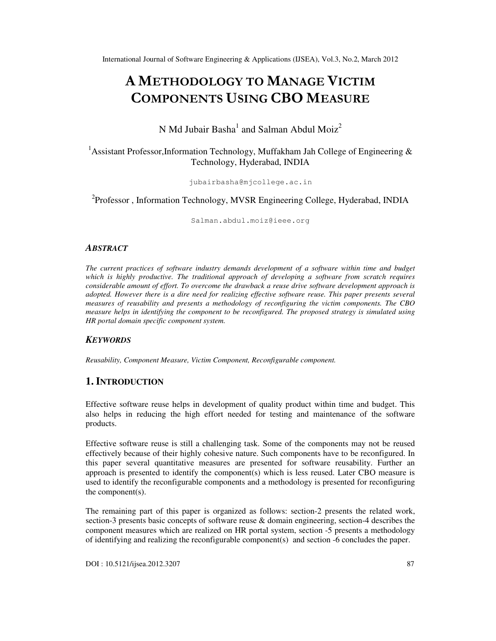# A METHODOLOGY TO MANAGE VICTIM COMPONENTS USING CBO MEASURE

N Md Jubair Basha<sup>1</sup> and Salman Abdul Moiz<sup>2</sup>

<sup>1</sup> Assistant Professor, Information Technology, Muffakham Jah College of Engineering & Technology, Hyderabad, INDIA

jubairbasha@mjcollege.ac.in

<sup>2</sup>Professor, Information Technology, MVSR Engineering College, Hyderabad, INDIA

Salman.abdul.moiz@ieee.org

## *ABSTRACT*

*The current practices of software industry demands development of a software within time and budget which is highly productive. The traditional approach of developing a software from scratch requires considerable amount of effort. To overcome the drawback a reuse drive software development approach is* adopted. However there is a dire need for realizing effective software reuse. This paper presents several *measures of reusability and presents a methodology of reconfiguring the victim components. The CBO measure helps in identifying the component to be reconfigured. The proposed strategy is simulated using HR portal domain specific component system.* 

## *KEYWORDS*

*Reusability, Component Measure, Victim Component, Reconfigurable component.* 

# **1. INTRODUCTION**

Effective software reuse helps in development of quality product within time and budget. This also helps in reducing the high effort needed for testing and maintenance of the software products.

Effective software reuse is still a challenging task. Some of the components may not be reused effectively because of their highly cohesive nature. Such components have to be reconfigured. In this paper several quantitative measures are presented for software reusability. Further an approach is presented to identify the component(s) which is less reused. Later CBO measure is used to identify the reconfigurable components and a methodology is presented for reconfiguring the component(s).

The remaining part of this paper is organized as follows: section-2 presents the related work, section-3 presents basic concepts of software reuse & domain engineering, section-4 describes the component measures which are realized on HR portal system, section -5 presents a methodology of identifying and realizing the reconfigurable component(s) and section -6 concludes the paper.

DOI : 10.5121/ijsea.2012.3207 87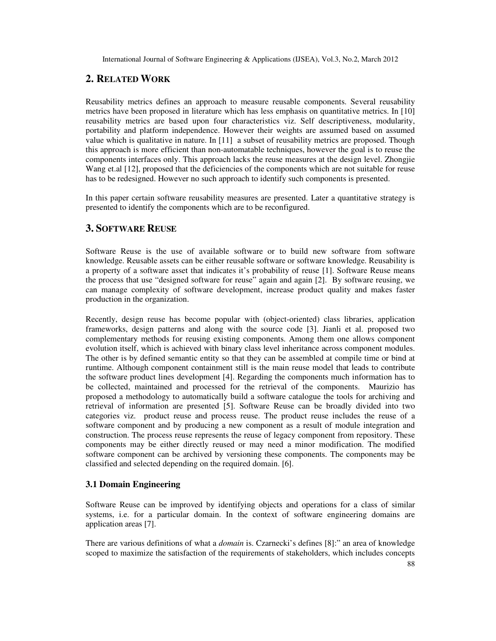# **2. RELATED WORK**

Reusability metrics defines an approach to measure reusable components. Several reusability metrics have been proposed in literature which has less emphasis on quantitative metrics. In [10] reusability metrics are based upon four characteristics viz. Self descriptiveness, modularity, portability and platform independence. However their weights are assumed based on assumed value which is qualitative in nature. In [11] a subset of reusability metrics are proposed. Though this approach is more efficient than non-automatable techniques, however the goal is to reuse the components interfaces only. This approach lacks the reuse measures at the design level. Zhongjie Wang et.al [12], proposed that the deficiencies of the components which are not suitable for reuse has to be redesigned. However no such approach to identify such components is presented.

In this paper certain software reusability measures are presented. Later a quantitative strategy is presented to identify the components which are to be reconfigured.

# **3. SOFTWARE REUSE**

Software Reuse is the use of available software or to build new software from software knowledge. Reusable assets can be either reusable software or software knowledge. Reusability is a property of a software asset that indicates it's probability of reuse [1]. Software Reuse means the process that use "designed software for reuse" again and again [2]. By software reusing, we can manage complexity of software development, increase product quality and makes faster production in the organization.

Recently, design reuse has become popular with (object-oriented) class libraries, application frameworks, design patterns and along with the source code [3]. Jianli et al. proposed two complementary methods for reusing existing components. Among them one allows component evolution itself, which is achieved with binary class level inheritance across component modules. The other is by defined semantic entity so that they can be assembled at compile time or bind at runtime. Although component containment still is the main reuse model that leads to contribute the software product lines development [4]. Regarding the components much information has to be collected, maintained and processed for the retrieval of the components. Maurizio has proposed a methodology to automatically build a software catalogue the tools for archiving and retrieval of information are presented [5]. Software Reuse can be broadly divided into two categories viz. product reuse and process reuse. The product reuse includes the reuse of a software component and by producing a new component as a result of module integration and construction. The process reuse represents the reuse of legacy component from repository. These components may be either directly reused or may need a minor modification. The modified software component can be archived by versioning these components. The components may be classified and selected depending on the required domain. [6].

## **3.1 Domain Engineering**

Software Reuse can be improved by identifying objects and operations for a class of similar systems, i.e. for a particular domain. In the context of software engineering domains are application areas [7].

There are various definitions of what a *domain* is. Czarnecki's defines [8]:" an area of knowledge scoped to maximize the satisfaction of the requirements of stakeholders, which includes concepts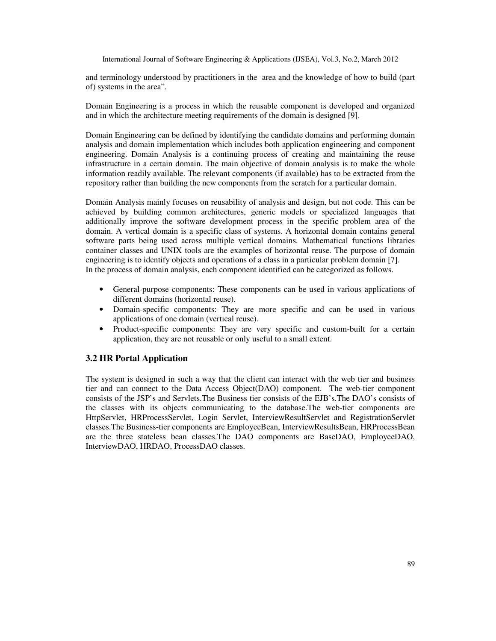and terminology understood by practitioners in the area and the knowledge of how to build (part of) systems in the area".

Domain Engineering is a process in which the reusable component is developed and organized and in which the architecture meeting requirements of the domain is designed [9].

Domain Engineering can be defined by identifying the candidate domains and performing domain analysis and domain implementation which includes both application engineering and component engineering. Domain Analysis is a continuing process of creating and maintaining the reuse infrastructure in a certain domain. The main objective of domain analysis is to make the whole information readily available. The relevant components (if available) has to be extracted from the repository rather than building the new components from the scratch for a particular domain.

Domain Analysis mainly focuses on reusability of analysis and design, but not code. This can be achieved by building common architectures, generic models or specialized languages that additionally improve the software development process in the specific problem area of the domain. A vertical domain is a specific class of systems. A horizontal domain contains general software parts being used across multiple vertical domains. Mathematical functions libraries container classes and UNIX tools are the examples of horizontal reuse. The purpose of domain engineering is to identify objects and operations of a class in a particular problem domain [7]. In the process of domain analysis, each component identified can be categorized as follows.

- General-purpose components: These components can be used in various applications of different domains (horizontal reuse).
- Domain-specific components: They are more specific and can be used in various applications of one domain (vertical reuse).
- Product-specific components: They are very specific and custom-built for a certain application, they are not reusable or only useful to a small extent.

## **3.2 HR Portal Application**

The system is designed in such a way that the client can interact with the web tier and business tier and can connect to the Data Access Object(DAO) component. The web-tier component consists of the JSP's and Servlets.The Business tier consists of the EJB's.The DAO's consists of the classes with its objects communicating to the database.The web-tier components are HttpServlet, HRProcessServlet, Login Servlet, InterviewResultServlet and RegistrationServlet classes.The Business-tier components are EmployeeBean, InterviewResultsBean, HRProcessBean are the three stateless bean classes.The DAO components are BaseDAO, EmployeeDAO, InterviewDAO, HRDAO, ProcessDAO classes.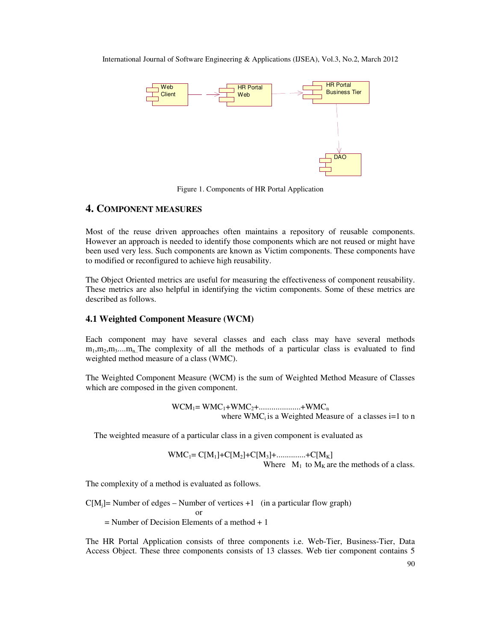

Figure 1. Components of HR Portal Application

# **4. COMPONENT MEASURES**

Most of the reuse driven approaches often maintains a repository of reusable components. However an approach is needed to identify those components which are not reused or might have been used very less. Such components are known as Victim components. These components have to modified or reconfigured to achieve high reusability.

The Object Oriented metrics are useful for measuring the effectiveness of component reusability. These metrics are also helpful in identifying the victim components. Some of these metrics are described as follows.

#### **4.1 Weighted Component Measure (WCM)**

Each component may have several classes and each class may have several methods  $m_1, m_2, m_3, \ldots, m_n$ . The complexity of all the methods of a particular class is evaluated to find weighted method measure of a class (WMC).

The Weighted Component Measure (WCM) is the sum of Weighted Method Measure of Classes which are composed in the given component.

$$
WCM1 = WMC1+WMC2+.................+WMCn
$$
  
where WMC<sub>i</sub> is a Weighted Measure of a classes i=1 to n

The weighted measure of a particular class in a given component is evaluated as

$$
WMC_1 = C[M_1] + C[M_2] + C[M_3] + \dots + C[M_K]
$$
  
Where  $M_1$  to  $M_K$  are the methods of a class.

The complexity of a method is evaluated as follows.

 $C[M_i]$ = Number of edges – Number of vertices +1 (in a particular flow graph)

$$
\quad \text{or} \quad
$$

 $=$  Number of Decision Elements of a method  $+1$ 

The HR Portal Application consists of three components i.e. Web-Tier, Business-Tier, Data Access Object. These three components consists of 13 classes. Web tier component contains 5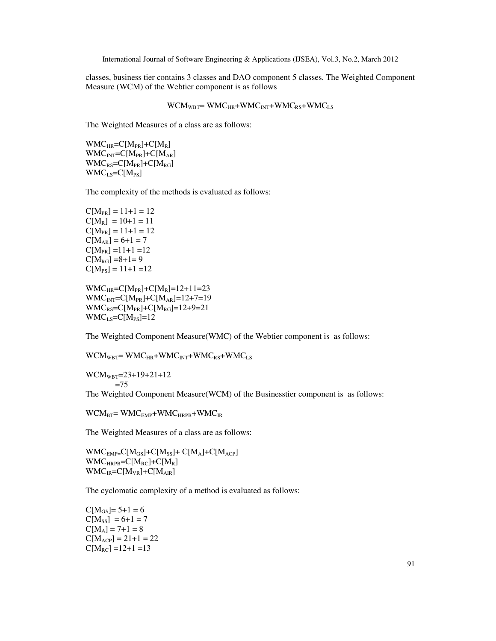classes, business tier contains 3 classes and DAO component 5 classes. The Weighted Component Measure (WCM) of the Webtier component is as follows

 $WCM_{WBT} = WMC_{HR} + WMC_{INT} + WMC_{RS} + WMC_{LS}$ 

The Weighted Measures of a class are as follows:

 $WMC_{HR} = C[M_{PR}] + C[M_R]$  $WMC_{INT} = C[M_{PR}] + C[M_{AR}]$  $WMC_{RS}=C[M_{PR}]+C[M_{RG}]$  $WMC_{LS}=C[M_{PS}]$ 

The complexity of the methods is evaluated as follows:

 $C[M_{PR}] = 11+1 = 12$  $C[M_R] = 10+1 = 11$  $C[M_{PR}] = 11+1 = 12$  $C[M_{AR}] = 6+1 = 7$  $C[M_{PR}] = 11+1 = 12$  $C[M_{RG}] = 8 + 1 = 9$  $C[M_{PS}] = 11+1 = 12$ 

 $WMC_{HR} = C[M_{PR}] + C[M_R] = 12 + 11 = 23$  $WMC_{INT} = C[M_{PR}] + C[M_{AR}] = 12 + 7 = 19$  $WMC_{RS} = C[M_{PR}] + C[M_{RG}] = 12 + 9 = 21$  $WMC_{LS}=C[M_{PS}]=12$ 

The Weighted Component Measure(WMC) of the Webtier component is as follows:

 $WCM_{WBT}$ =  $WMC_{HR}$ + $WMC_{INT}$ + $WMC_{RS}$ + $WMC_{LS}$ 

WCM<sub>WBT</sub>=23+19+21+12  $=75$ 

The Weighted Component Measure(WCM) of the Businesstier component is as follows:

 $WCM_{BT}$ = WMC<sub>EMP</sub>+WMC<sub>HRPB</sub>+WMC<sub>IR</sub>

The Weighted Measures of a class are as follows:

 $WMC<sub>EMP=</sub>C[M<sub>GS</sub>] + C[M<sub>SS</sub>] + C[M<sub>A</sub>] + C[M<sub>ACP</sub>]$  $WMC_{HRPB} = C[M_{RC}] + C[M_{R}]$  $WMC_{IR}$ =C[ $M_{VR}$ ]+C[ $M_{AIR}$ ]

The cyclomatic complexity of a method is evaluated as follows:

 $C[M_{GS}] = 5+1 = 6$  $C[M_{SS}] = 6+1 = 7$  $C[M_A] = 7+1 = 8$  $C[M_{ACP}] = 21+1 = 22$  $C[M_{RC}] = 12+1 = 13$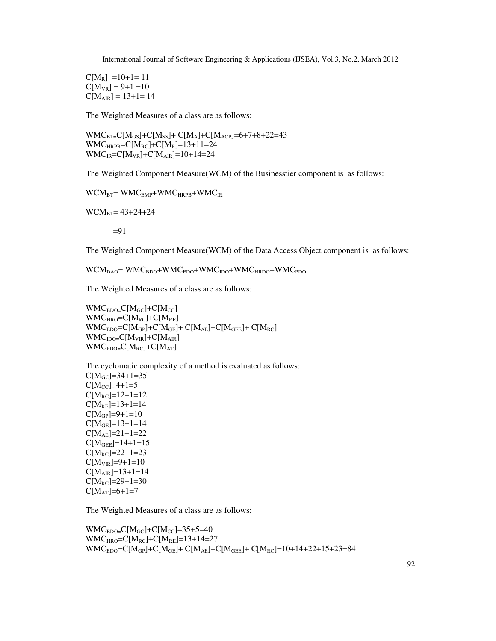$C[M_R] = 10+1=11$  $C[M_{VR}] = 9+1 = 10$  $C[M_{AIR}] = 13+1=14$ 

The Weighted Measures of a class are as follows:

 $WMC_{BT} = C[M_{GS}] + C[M_{SS}] + C[M_A] + C[M_{ACP}] = 6 + 7 + 8 + 22 = 43$  $WMC_{HRPB} = C[M_{RC}] + C[M_{R}] = 13 + 11 = 24$  $WMC_{IR}$ =C[M<sub>VR</sub>]+C[M<sub>AIR</sub>]=10+14=24

The Weighted Component Measure(WCM) of the Businesstier component is as follows:

 $WCM_{BT}$ = WMC $_{EMP}$ +WMC $_{HRPB}$ +WMC $_{IR}$ 

 $WCM<sub>BT</sub> = 43 + 24 + 24$ 

 $=91$ 

The Weighted Component Measure(WCM) of the Data Access Object component is as follows:

 $WCM_{DAO}$ =  $WMC_{BDO}$ + $WMC_{EDO}$ + $WMC_{IDO}$ + $WMC_{HRDO}$ + $WMC_{PDO}$ 

The Weighted Measures of a class are as follows:

 $WMC_{BDO}$ =C[ $M_{GC}$ ]+C[ $M_{CC}$ ]  $WMC_{HRO}=C[M_{RC}]+C[M_{RE}]$  $WMC<sub>EDO</sub>=C[M<sub>GP</sub>]+C[M<sub>GE</sub>]+C[M<sub>AE</sub>]+C[M<sub>GEE</sub>]+C[M<sub>RC</sub>]$  $WMC_{\text{IDO}=C[M_{\text{VIR}}]+C[M_{\text{AIR}}]}$  $WMC_{PDO}$ =C[ $M_{RC}$ ]+C[ $M_{AT}$ ]

The cyclomatic complexity of a method is evaluated as follows:  $C[M_{GC}] = 34+1=35$  $C[M_{CC}]_ = 4+1=5$  $C[M_{RC}] = 12+1=12$  $C[M_{RE}] = 13+1=14$  $C[M_{GP}] = 9+1=10$  $C[M<sub>GE</sub>] = 13+1=14$  $C[M_{AE}] = 21 + 1 = 22$  $C[M<sub>GEE</sub>]=14+1=15$  $C[M_{RC}] = 22 + 1 = 23$  $C[M_{VIR}] = 9 + 1 = 10$  $C[M_{AIR}] = 13+1=14$  $C[M_{RC}] = 29 + 1 = 30$  $C[M_{AT}] = 6 + 1 = 7$ 

The Weighted Measures of a class are as follows:

 $WMC_{\text{BDO}=C[M_{\text{GC}}]+C[M_{\text{CC}}]=35+5=40$  $WMC_{HRO} = C[M_{RC}] + C[M_{RE}] = 13 + 14 = 27$  $WMC_{EDO} = C[M_{GP}] + C[M_{GE}] + C[M_{AE}] + C[M_{GEE}] + C[M_{RC}] = 10 + 14 + 22 + 15 + 23 = 84$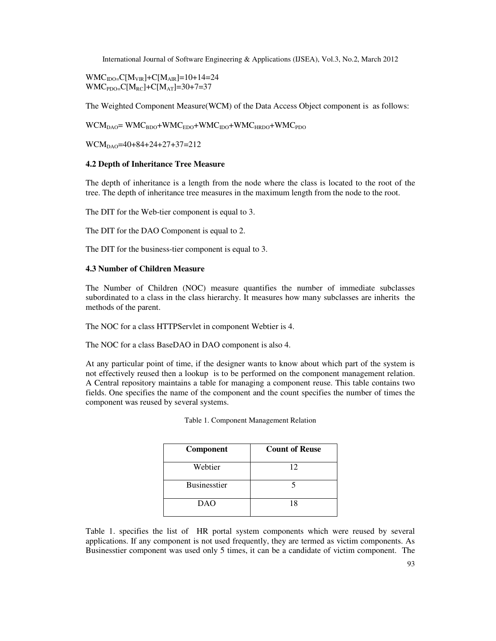$WMC_{\text{IDO}} = C[M_{\text{VIR}}] + C[M_{\text{AIR}}] = 10 + 14 = 24$  $WMC_{PDO} = C[M_{RC}] + C[M_{AT}] = 30 + 7 = 37$ 

The Weighted Component Measure(WCM) of the Data Access Object component is as follows:

 $WCM_{DAO} = WMC_{BDO} + WMC_{EDO} + WMC_{IDO} + WMC_{HRDO} + WMC_{PDO}$ 

 $WCM_{DAO} = 40 + 84 + 24 + 27 + 37 = 212$ 

#### **4.2 Depth of Inheritance Tree Measure**

The depth of inheritance is a length from the node where the class is located to the root of the tree. The depth of inheritance tree measures in the maximum length from the node to the root.

The DIT for the Web-tier component is equal to 3.

The DIT for the DAO Component is equal to 2.

The DIT for the business-tier component is equal to 3.

#### **4.3 Number of Children Measure**

The Number of Children (NOC) measure quantifies the number of immediate subclasses subordinated to a class in the class hierarchy. It measures how many subclasses are inherits the methods of the parent.

The NOC for a class HTTPServlet in component Webtier is 4.

The NOC for a class BaseDAO in DAO component is also 4.

At any particular point of time, if the designer wants to know about which part of the system is not effectively reused then a lookup is to be performed on the component management relation. A Central repository maintains a table for managing a component reuse. This table contains two fields. One specifies the name of the component and the count specifies the number of times the component was reused by several systems.

| Component           | <b>Count of Reuse</b> |
|---------------------|-----------------------|
| Webtier             | 12                    |
| <b>Businesstier</b> |                       |
| DAO                 | 18                    |

|  |  | Table 1. Component Management Relation |  |
|--|--|----------------------------------------|--|
|--|--|----------------------------------------|--|

Table 1. specifies the list of HR portal system components which were reused by several applications. If any component is not used frequently, they are termed as victim components. As Businesstier component was used only 5 times, it can be a candidate of victim component. The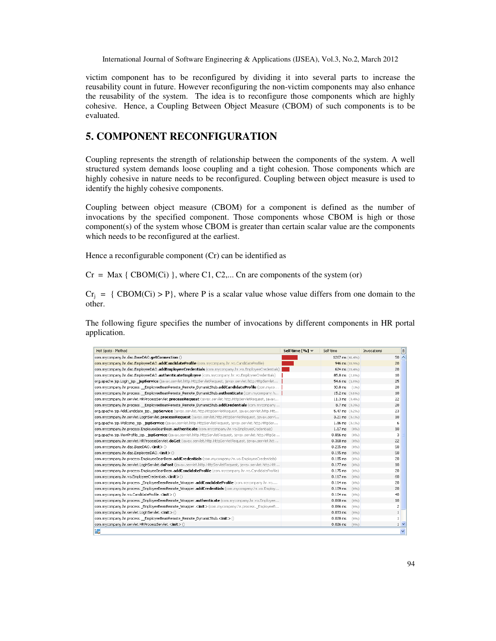victim component has to be reconfigured by dividing it into several parts to increase the reusability count in future. However reconfiguring the non-victim components may also enhance the reusability of the system. The idea is to reconfigure those components which are highly cohesive. Hence, a Coupling Between Object Measure (CBOM) of such components is to be evaluated.

# **5. COMPONENT RECONFIGURATION**

Coupling represents the strength of relationship between the components of the system. A well structured system demands loose coupling and a tight cohesion. Those components which are highly cohesive in nature needs to be reconfigured. Coupling between object measure is used to identify the highly cohesive components.

Coupling between object measure (CBOM) for a component is defined as the number of invocations by the specified component. Those components whose CBOM is high or those component(s) of the system whose CBOM is greater than certain scalar value are the components which needs to be reconfigured at the earliest.

Hence a reconfigurable component (Cr) can be identified as

 $Cr = Max \{ CBOM(Ci) \}$ , where  $C1, C2,...$  Cn are components of the system (or)

 $Cr_j = \{ CBOM(Ci) > P\}$ , where P is a scalar value whose value differs from one domain to the other.

The following figure specifies the number of invocations by different components in HR portal application.

| Hot Spots - Method                                                                                           | Self time $\lceil \% \rceil$ $\vee$ | Self time                   | Invocations |                | 圃            |
|--------------------------------------------------------------------------------------------------------------|-------------------------------------|-----------------------------|-------------|----------------|--------------|
| com.mycompany.hr.dao.BaseDAO.getConnection ()                                                                |                                     | 1267 ms (41.4%)             |             | 50             | ∣⊼           |
| com.mycompany.hr.dao.EmployeeDAO.addCandidateProfile (com.mycompany.hr.vo.CandidateProfile)                  |                                     | 946 ms (30.9%)              |             | 20             |              |
| com.mycompany.hr.dao.EmployeeDAO.addEmployeeCredentials (com.mycompany.hr.vo.EmployeeCredentials)            |                                     | 624 ms (20.4%)              |             | 20             |              |
| com.mycompany.hr.dao.EmployeeDAO.authenticateEmployee (com.mycompany.hr.vo.EmployeeCredentials)              |                                     | 85.8 ms (2.8%)              |             | 10             |              |
| org.apache.jsp.Login isp. ispService (iavax.servlet.http.HttpServletRequest, iavax.servlet.http.HttpServlet  |                                     | 54.6 ms (1.8%)              |             | 25             |              |
| com.mycompany.hr.process. EmployeeBeanRemote Remote DynamicStub.addCandidateProfile (com.myco                |                                     | 30.8 <sub>ms</sub><br>(196) |             | 20             |              |
| com.mycompany.hr.process. EmployeeBeanRemote Remote DynamicStub.authenticate (com.mycompany.h                |                                     | 15.2 ms (0.5%)              |             | 10             |              |
| com.mycompany.hr.servlet.HRProcessServlet.processRequest (javax.servlet.http.HttpServletRequest, javax       |                                     | 11.3 ms $(0.496)$           |             | 22             |              |
| com.mycompany.hr.process. EmployeeBeanRemote Remote DynamicStub.addCredentials (com.mycompany                |                                     | 8.7 ms (0.3%)               |             | 20             |              |
| org.apache.jsp.AddCandidate_jsp._jspService (javax.servlet.http.HttpServletRequest, javax.servlet.http.Htt   |                                     | 5.47 ms $(0.296)$           |             | 23             |              |
| com.mycompany.hr.servlet.LoginServlet.processRequest (javax.servlet.http.HttpServletRequest, javax.servl     |                                     | 3.21 ms (0.1%)              |             | 10             |              |
| org.apache.jsp.Welcome jsp. jspService (javax.servlet.http.HttpServletRequest, javax.servlet.http.HttpSer    |                                     | $1.86$ ms $(0.1\%)$         |             | 6              |              |
| com.mycompany.hr.process.EmployeeBeanBean.authenticate (com.mycompany.hr.yo.EmployeeCredentials)             |                                     | $1.17$ ms<br>(0.96)         |             | 10             |              |
| org.apache.jsp.ViewProfile_jsp._jspService (javax.servlet.http.HttpServletRequest, javax.servlet.http.HttpSe |                                     | 0.856 ms<br>(0.96)          |             | з              |              |
| com.mycompany.hr.servlet.HRProcessServlet.doGet (javax.servlet.http.HttpServletRequest, javax.servlet.htt    |                                     | $0.368$ ms<br>(096)         |             | 22             |              |
| com.mycompany.hr.dao.BaseDAO. <init>()</init>                                                                |                                     | $0.235$ ms<br>(0.96)        |             | 50             |              |
| com.mycompany.hr.dao.EmployeeDAO. <init> ()</init>                                                           |                                     | $0.195$ ms<br>(0.96)        |             | 50             |              |
| com.mycompany.hr.process.EmployeeBeanBean.addCredentials (com.mycompany.hr.vo.EmployeeCredentials)           |                                     | $0.185 \text{ ms}$<br>(096) |             | 20             |              |
| com.mycompany.hr.servlet.LoginServlet.doPost (javax.servlet.http.HttpServletRequest, javax.servlet.http.Htt  |                                     | $0.177$ ms<br>(0.96)        |             | 10             |              |
| com.mycompany.hr.process.EmployeeBeanBean.addCandidateProfile (com.mycompany.hr.vo.CandidateProfile)         |                                     | $0.175$ ms<br>(096)         |             | 20             |              |
| com.mycompany.hr.vo.EmployeeCredentials. <init> ()</init>                                                    |                                     | $0.117$ ms<br>(0.96)        |             | 60             |              |
| com.mycompany.hr.process. EmployeeBeanRemote Wrapper.addCandidateProfile (com.mycompany.hr.vo                |                                     | $0.114$ ms<br>(096)         |             | 20             |              |
| com.mycompany.hr.process. EmployeeBeanRemote_Wrapper.addCredentials (com.mycompany.hr.vo.Employ              |                                     | $0.109$ ms<br>(096)         |             | 20             |              |
| com.mycompany.hr.vo.CandidateProfile. <init> ()</init>                                                       |                                     | $0.104$ ms<br>(0.96)        |             | 40             |              |
| com.mycompany.hr.process. EmployeeBeanRemote_Wrapper.authenticate (com.mycompany.hr.vo.Employee              |                                     | $0.068$ ms<br>(096)         |             | 10             |              |
| com.mycompany.hr.process. EmployeeBeanRemote Wrapper. <init> (com.mycompany.hr.process. EmployeeB</init>     |                                     | $0.066$ ms<br>(096)         |             | $\overline{c}$ |              |
| com.mycompany.hr.servlet.LoginServlet. <init> ()</init>                                                      |                                     | $0.033$ ms<br>(0.96)        |             | $\mathbf{1}$   |              |
| com.mycompany.hr.process. EmployeeBeanRemote_Remote_DynamicStub. <init> ()</init>                            |                                     | $0.028$ ms<br>(096)         |             | 1              |              |
| com.mycompany.hr.servlet.HRProcessServlet. <init> ()</init>                                                  |                                     | $0.026$ ms<br>(0.96)        |             | 1 <sup>9</sup> |              |
| 慢                                                                                                            |                                     |                             |             |                | $\checkmark$ |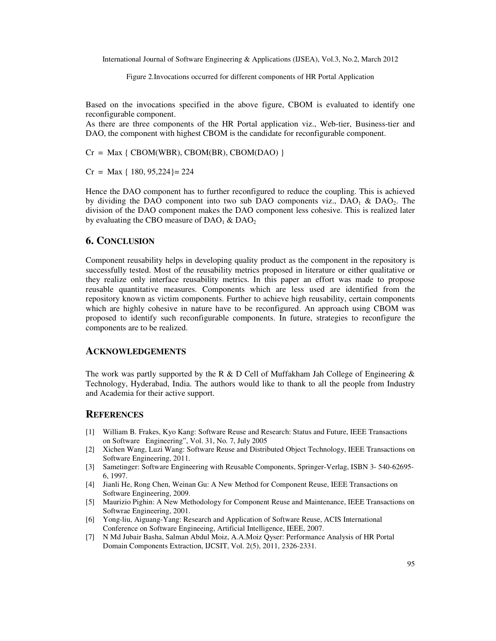Figure 2.Invocations occurred for different components of HR Portal Application

Based on the invocations specified in the above figure, CBOM is evaluated to identify one reconfigurable component.

As there are three components of the HR Portal application viz., Web-tier, Business-tier and DAO, the component with highest CBOM is the candidate for reconfigurable component.

 $Cr = Max \{ CBOM(WBR), CBOM(BR), CBOM(DAO) \}$ 

 $Cr = Max {180, 95,224} = 224$ 

Hence the DAO component has to further reconfigured to reduce the coupling. This is achieved by dividing the DAO component into two sub DAO components viz.,  $DAO<sub>1</sub> \& DAO<sub>2</sub>$ . The division of the DAO component makes the DAO component less cohesive. This is realized later by evaluating the CBO measure of DAO<sub>1</sub> & DAO<sub>2</sub>

## **6. CONCLUSION**

Component reusability helps in developing quality product as the component in the repository is successfully tested. Most of the reusability metrics proposed in literature or either qualitative or they realize only interface reusability metrics. In this paper an effort was made to propose reusable quantitative measures. Components which are less used are identified from the repository known as victim components. Further to achieve high reusability, certain components which are highly cohesive in nature have to be reconfigured. An approach using CBOM was proposed to identify such reconfigurable components. In future, strategies to reconfigure the components are to be realized.

# **ACKNOWLEDGEMENTS**

The work was partly supported by the R & D Cell of Muffakham Jah College of Engineering  $\&$ Technology, Hyderabad, India. The authors would like to thank to all the people from Industry and Academia for their active support.

#### **REFERENCES**

- [1] William B. Frakes, Kyo Kang: Software Reuse and Research: Status and Future, IEEE Transactions on Software Engineering", Vol. 31, No. 7, July 2005
- [2] Xichen Wang, Luzi Wang: Software Reuse and Distributed Object Technology, IEEE Transactions on Software Engineering, 2011.
- [3] Sametinger: Software Engineering with Reusable Components, Springer-Verlag, ISBN 3- 540-62695- 6, 1997.
- [4] Jianli He, Rong Chen, Weinan Gu: A New Method for Component Reuse, IEEE Transactions on Software Engineering, 2009.
- [5] Maurizio Pighin: A New Methodology for Component Reuse and Maintenance, IEEE Transactions on Softwrae Engineering, 2001.
- [6] Yong-liu, Aiguang-Yang: Research and Application of Software Reuse, ACIS International Conference on Software Engineeing, Artificial Intelligence, IEEE, 2007.
- [7] N Md Jubair Basha, Salman Abdul Moiz, A.A.Moiz Qyser: Performance Analysis of HR Portal Domain Components Extraction, IJCSIT, Vol. 2(5), 2011, 2326-2331.